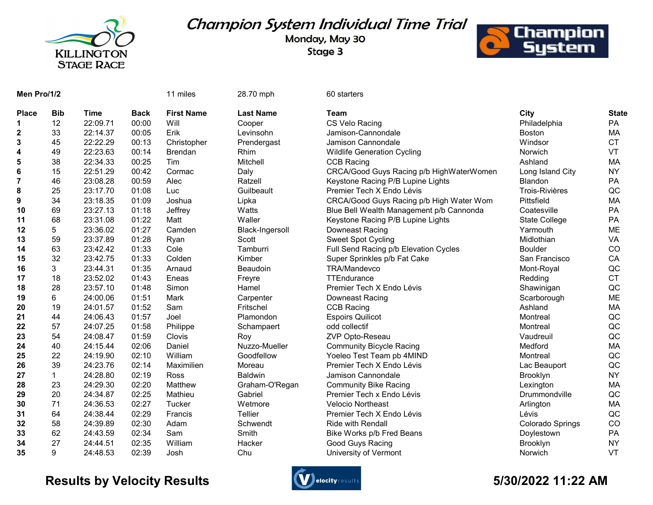

## Champion System Individual Time Trial

Monday, May 30 Stage 3



| Men Pro/1/2  |             |             |             | 11 miles          | 28.70 mph        | 60 starters                              |                       |              |
|--------------|-------------|-------------|-------------|-------------------|------------------|------------------------------------------|-----------------------|--------------|
| <b>Place</b> | <b>Bib</b>  | <b>Time</b> | <b>Back</b> | <b>First Name</b> | <b>Last Name</b> | <b>Team</b>                              | City                  | <b>State</b> |
|              | 12          | 22:09.71    | 00:00       | Will              | Cooper           | CS Velo Racing                           | Philadelphia          | PA           |
| 2            | 33          | 22:14.37    | 00:05       | Erik              | Levinsohn        | Jamison-Cannondale                       | <b>Boston</b>         | MA           |
| 3            | 45          | 22:22.29    | 00:13       | Christopher       | Prendergast      | Jamison Cannondale                       | Windsor               | <b>CT</b>    |
| 4            | 49          | 22:23.63    | 00:14       | <b>Brendan</b>    | Rhim             | <b>Wildlife Generation Cycling</b>       | Norwich               | VT           |
| 5            | 38          | 22:34.33    | 00:25       | Tim               | Mitchell         | <b>CCB Racing</b>                        | Ashland               | MA           |
| 6            | 15          | 22:51.29    | 00:42       | Cormac            | Daly             | CRCA/Good Guys Racing p/b HighWaterWomen | Long Island City      | <b>NY</b>    |
| 7            | 46          | 23:08.28    | 00:59       | Alec              | Ratzell          | Keystone Racing P/B Lupine Lights        | Blandon               | PA           |
| 8            | 25          | 23:17.70    | 01:08       | Luc               | Guilbeault       | Premier Tech X Endo Lévis                | <b>Trois-Rivières</b> | QC           |
| 9            | 34          | 23:18.35    | 01:09       | Joshua            | Lipka            | CRCA/Good Guys Racing p/b High Water Wom | Pittsfield            | MA           |
| 10           | 69          | 23:27.13    | 01:18       | Jeffrey           | Watts            | Blue Bell Wealth Management p/b Cannonda | Coatesville           | PA           |
| 11           | 68          | 23:31.08    | 01:22       | Matt              | Waller           | Keystone Racing P/B Lupine Lights        | State College         | PA           |
| 12           | 5           | 23:36.02    | 01:27       | Camden            | Black-Ingersoll  | Downeast Racing                          | Yarmouth              | ME           |
| 13           | 59          | 23:37.89    | 01:28       | Ryan              | Scott            | <b>Sweet Spot Cycling</b>                | Midlothian            | VA           |
| 14           | 63          | 23:42.42    | 01:33       | Cole              | Tamburri         | Full Send Racing p/b Elevation Cycles    | <b>Boulder</b>        | <b>CO</b>    |
| 15           | 32          | 23:42.75    | 01:33       | Colden            | Kimber           | Super Sprinkles p/b Fat Cake             | San Francisco         | CA           |
| 16           | 3           | 23:44.31    | 01:35       | Arnaud            | Beaudoin         | TRA/Mandevco                             | Mont-Royal            | QC           |
| 17           | 18          | 23:52.02    | 01:43       | Eneas             | Freyre           | TTEndurance                              | Redding               | <b>CT</b>    |
| 18           | 28          | 23:57.10    | 01:48       | Simon             | Hamel            | Premier Tech X Endo Lévis                | Shawinigan            | QC           |
| 19           | 6           | 24:00.06    | 01:51       | Mark              | Carpenter        | Downeast Racing                          | Scarborough           | <b>ME</b>    |
| 20           | 19          | 24:01.57    | 01:52       | Sam               | Fritschel        | <b>CCB Racing</b>                        | Ashland               | MA           |
| 21           | 44          | 24:06.43    | 01:57       | Joel              | Plamondon        | <b>Espoirs Quilicot</b>                  | Montreal              | QC           |
| 22           | 57          | 24:07.25    | 01:58       | Philippe          | Schampaert       | odd collectif                            | Montreal              | QC           |
| 23           | 54          | 24:08.47    | 01:59       | Clovis            | Roy              | ZVP Opto-Reseau                          | Vaudreuil             | QC           |
| 24           | 40          | 24:15.44    | 02:06       | Daniel            | Nuzzo-Mueller    | <b>Community Bicycle Racing</b>          | Medford               | MA           |
| 25           | 22          | 24:19.90    | 02:10       | William           | Goodfellow       | Yoeleo Test Team pb 4MIND                | Montreal              | QC           |
| 26           | 39          | 24:23.76    | 02:14       | Maximilien        | Moreau           | Premier Tech X Endo Lévis                | Lac Beauport          | QC           |
| 27           | $\mathbf 1$ | 24:28.80    | 02:19       | Ross              | <b>Baldwin</b>   | Jamison Cannondale                       | <b>Brooklyn</b>       | <b>NY</b>    |
| 28           | 23          | 24:29.30    | 02:20       | Matthew           | Graham-O'Regan   | <b>Community Bike Racing</b>             | Lexington             | MA           |
| 29           | 20          | 24:34.87    | 02:25       | Mathieu           | Gabriel          | Premier Tech x Endo Lévis                | Drummondville         | QC           |
| 30           | 71          | 24:36.53    | 02:27       | Tucker            | Wetmore          | <b>Velocio Northeast</b>                 | Arlington             | МA           |
| 31           | 64          | 24:38.44    | 02:29       | Francis           | Tellier          | Premier Tech X Endo Lévis                | Lévis                 | QC           |
| 32           | 58          | 24:39.89    | 02:30       | Adam              | Schwendt         | Ride with Rendall                        | Colorado Springs      | CO           |
| 33           | 62          | 24:43.59    | 02:34       | Sam               | Smith            | Bike Works p/b Fred Beans                | Doylestown            | PA           |
| 34           | 27          | 24:44.51    | 02:35       | William           | Hacker           | Good Guys Racing                         | Brooklyn              | <b>NY</b>    |
| 35           | 9           | 24:48.53    | 02:39       | Josh              | Chu              | University of Vermont                    | Norwich               | VT           |

## Results by Velocity Results **Controllers** and the second state of the Second State of the Second State of the S